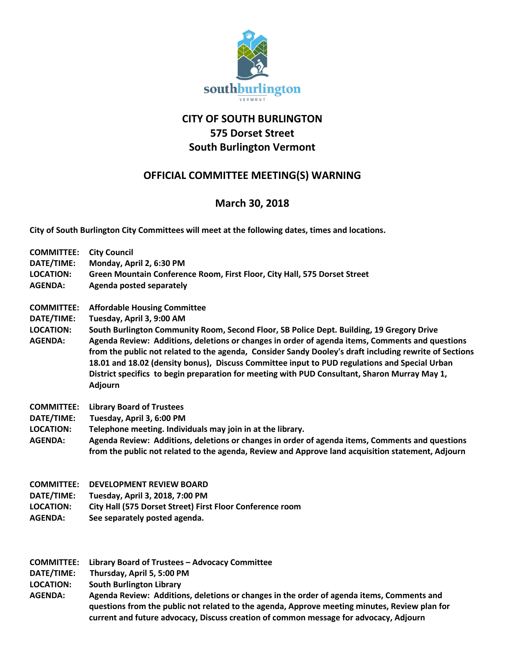

## **CITY OF SOUTH BURLINGTON 575 Dorset Street South Burlington Vermont**

## **OFFICIAL COMMITTEE MEETING(S) WARNING**

## **March 30, 2018**

**City of South Burlington City Committees will meet at the following dates, times and locations.** 

| <b>COMMITTEE:</b><br>DATE/TIME:<br><b>LOCATION:</b><br><b>AGENDA:</b> | <b>City Council</b><br>Monday, April 2, 6:30 PM<br>Green Mountain Conference Room, First Floor, City Hall, 575 Dorset Street<br>Agenda posted separately                                                                                                                                                                                                                                                                                                                                                                                                                                |
|-----------------------------------------------------------------------|-----------------------------------------------------------------------------------------------------------------------------------------------------------------------------------------------------------------------------------------------------------------------------------------------------------------------------------------------------------------------------------------------------------------------------------------------------------------------------------------------------------------------------------------------------------------------------------------|
| <b>COMMITTEE:</b><br>DATE/TIME:<br><b>LOCATION:</b><br><b>AGENDA:</b> | <b>Affordable Housing Committee</b><br>Tuesday, April 3, 9:00 AM<br>South Burlington Community Room, Second Floor, SB Police Dept. Building, 19 Gregory Drive<br>Agenda Review: Additions, deletions or changes in order of agenda items, Comments and questions<br>from the public not related to the agenda, Consider Sandy Dooley's draft including rewrite of Sections<br>18.01 and 18.02 (density bonus), Discuss Committee input to PUD regulations and Special Urban<br>District specifics to begin preparation for meeting with PUD Consultant, Sharon Murray May 1,<br>Adjourn |
| <b>COMMITTEE:</b><br>DATE/TIME:<br><b>LOCATION:</b><br><b>AGENDA:</b> | <b>Library Board of Trustees</b><br>Tuesday, April 3, 6:00 PM<br>Telephone meeting. Individuals may join in at the library.<br>Agenda Review: Additions, deletions or changes in order of agenda items, Comments and questions<br>from the public not related to the agenda, Review and Approve land acquisition statement, Adjourn                                                                                                                                                                                                                                                     |
| <b>COMMITTEE:</b><br>DATE/TIME:<br><b>LOCATION:</b><br><b>AGENDA:</b> | <b>DEVELOPMENT REVIEW BOARD</b><br>Tuesday, April 3, 2018, 7:00 PM<br>City Hall (575 Dorset Street) First Floor Conference room<br>See separately posted agenda.                                                                                                                                                                                                                                                                                                                                                                                                                        |
| <b>COMMITTEE:</b>                                                     | Library Board of Trustees - Advocacy Committee                                                                                                                                                                                                                                                                                                                                                                                                                                                                                                                                          |

**DATE/TIME: Thursday, April 5, 5:00 PM**

**LOCATION: South Burlington Library**

**AGENDA: Agenda Review: Additions, deletions or changes in the order of agenda items, Comments and questions from the public not related to the agenda, Approve meeting minutes, Review plan for current and future advocacy, Discuss creation of common message for advocacy, Adjourn**